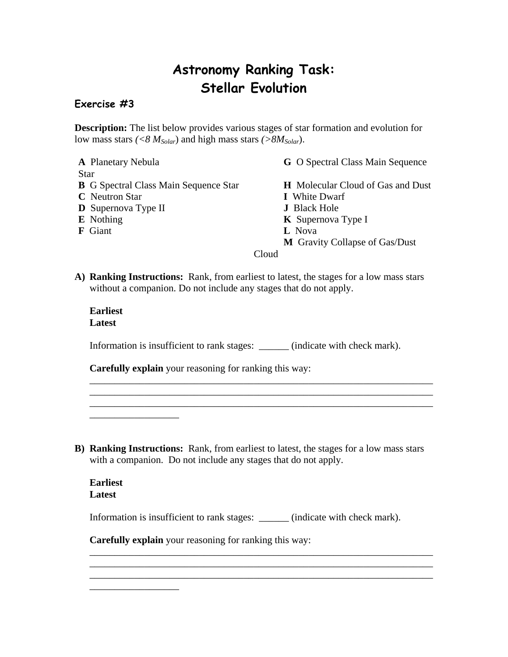## **Astronomy Ranking Task: Stellar Evolution**

## **Exercise #3**

Star

**Description:** The list below provides various stages of star formation and evolution for low mass stars  $\left(\langle 8 M_{Solar} \rangle\right)$  and high mass stars  $\left(\frac{>8 M_{Solar}}{>}\right)$ .

- **A** Planetary Nebula **G** O Spectral Class Main Sequence **B** G Spectral Class Main Sequence Star **H** Molecular Cloud of Gas and Dust **C** Neutron Star **I** White Dwarf **D** Supernova Type II **J** Black Hole **E** Nothing **K** Supernova Type I **F** Giant **L** Nova **M** Gravity Collapse of Gas/Dust Cloud
- **A) Ranking Instructions:** Rank, from earliest to latest, the stages for a low mass stars without a companion. Do not include any stages that do not apply.

## **Earliest Latest**

Information is insufficient to rank stages: \_\_\_\_\_\_ (indicate with check mark).

\_\_\_\_\_\_\_\_\_\_\_\_\_\_\_\_\_\_\_\_\_\_\_\_\_\_\_\_\_\_\_\_\_\_\_\_\_\_\_\_\_\_\_\_\_\_\_\_\_\_\_\_\_\_\_\_\_\_\_\_\_\_\_\_\_\_\_\_\_ \_\_\_\_\_\_\_\_\_\_\_\_\_\_\_\_\_\_\_\_\_\_\_\_\_\_\_\_\_\_\_\_\_\_\_\_\_\_\_\_\_\_\_\_\_\_\_\_\_\_\_\_\_\_\_\_\_\_\_\_\_\_\_\_\_\_\_\_\_

**Carefully explain** your reasoning for ranking this way:

**B) Ranking Instructions:** Rank, from earliest to latest, the stages for a low mass stars with a companion. Do not include any stages that do not apply.

## **Earliest Latest**

\_\_\_\_\_\_\_\_\_\_\_\_\_\_\_\_\_\_

\_\_\_\_\_\_\_\_\_\_\_\_\_\_\_\_\_\_

Information is insufficient to rank stages: \_\_\_\_\_\_ (indicate with check mark).

\_\_\_\_\_\_\_\_\_\_\_\_\_\_\_\_\_\_\_\_\_\_\_\_\_\_\_\_\_\_\_\_\_\_\_\_\_\_\_\_\_\_\_\_\_\_\_\_\_\_\_\_\_\_\_\_\_\_\_\_\_\_\_\_\_\_\_\_\_ \_\_\_\_\_\_\_\_\_\_\_\_\_\_\_\_\_\_\_\_\_\_\_\_\_\_\_\_\_\_\_\_\_\_\_\_\_\_\_\_\_\_\_\_\_\_\_\_\_\_\_\_\_\_\_\_\_\_\_\_\_\_\_\_\_\_\_\_\_ \_\_\_\_\_\_\_\_\_\_\_\_\_\_\_\_\_\_\_\_\_\_\_\_\_\_\_\_\_\_\_\_\_\_\_\_\_\_\_\_\_\_\_\_\_\_\_\_\_\_\_\_\_\_\_\_\_\_\_\_\_\_\_\_\_\_\_\_\_

**Carefully explain** your reasoning for ranking this way: